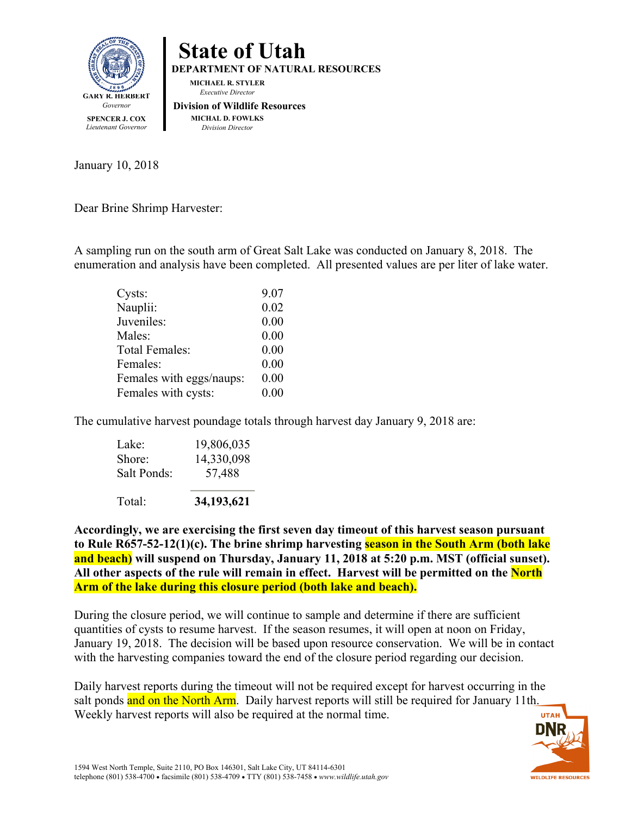



January 10, 2018

Dear Brine Shrimp Harvester:

A sampling run on the south arm of Great Salt Lake was conducted on January 8, 2018. The enumeration and analysis have been completed. All presented values are per liter of lake water.

| 9.07 |
|------|
| 0.02 |
| 0.00 |
| 0.00 |
| 0.00 |
| 0.00 |
| 0.00 |
| 0.00 |
|      |

The cumulative harvest poundage totals through harvest day January 9, 2018 are:

**Accordingly, we are exercising the first seven day timeout of this harvest season pursuant to Rule R657-52-12(1)(c). The brine shrimp harvesting season in the South Arm (both lake and beach) will suspend on Thursday, January 11, 2018 at 5:20 p.m. MST (official sunset). All other aspects of the rule will remain in effect. Harvest will be permitted on the North Arm of the lake during this closure period (both lake and beach).**

During the closure period, we will continue to sample and determine if there are sufficient quantities of cysts to resume harvest. If the season resumes, it will open at noon on Friday, January 19, 2018. The decision will be based upon resource conservation. We will be in contact with the harvesting companies toward the end of the closure period regarding our decision.

Daily harvest reports during the timeout will not be required except for harvest occurring in the salt ponds and on the North Arm. Daily harvest reports will still be required for January 11th. Weekly harvest reports will also be required at the normal time.